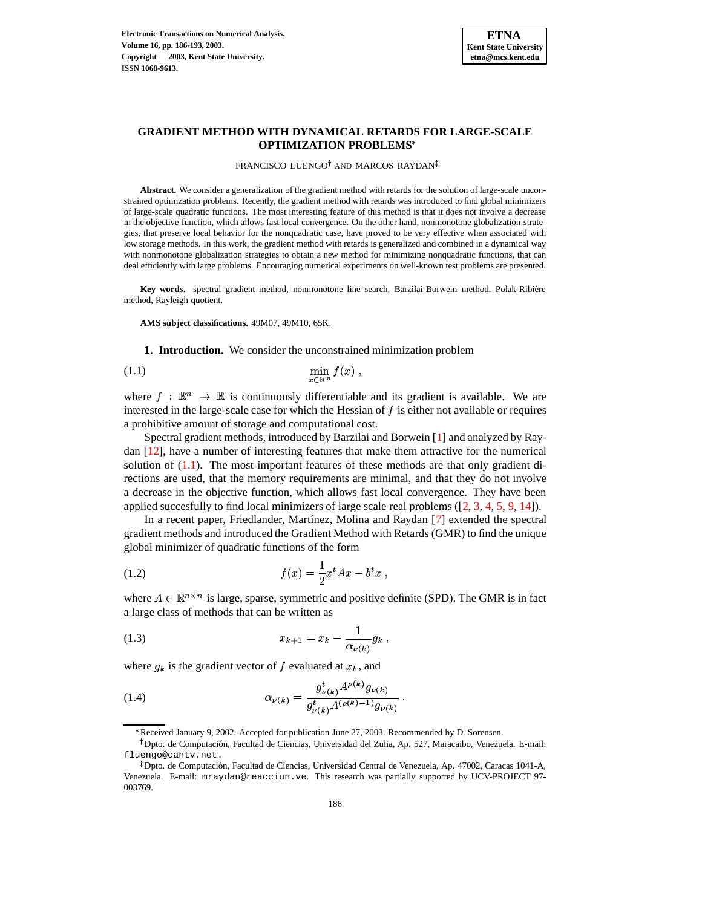

## **GRADIENT METHOD WITH DYNAMICAL RETARDS FOR LARGE-SCALE OPTIMIZATION PROBLEMS**

#### FRANCISCO LUENGO<sup>†</sup> AND MARCOS RAYDAN

**Abstract.** We consider a generalization of the gradient method with retards for the solution of large-scale unconstrained optimization problems. Recently, the gradient method with retards was introduced to find global minimizers of large-scale quadratic functions. The most interesting feature of this method is that it does not involve a decrease in the objective function, which allows fast local convergence. On the other hand, nonmonotone globalization strategies, that preserve local behavior for the nonquadratic case, have proved to be very effective when associated with low storage methods. In this work, the gradient method with retards is generalized and combined in a dynamical way with nonmonotone globalization strategies to obtain a new method for minimizing nonquadratic functions, that can deal efficiently with large problems. Encouraging numerical experiments on well-known test problems are presented.

**Key words.** spectral gradient method, nonmonotone line search, Barzilai-Borwein method, Polak-Ribiere ` method, Rayleigh quotient.

**AMS subject classifications.** 49M07, 49M10, 65K.

<span id="page-0-0"></span>**1. Introduction.** We consider the unconstrained minimization problem

$$
\min_{x \in \mathbb{R}^n} f(x) ,
$$

where  $f: \mathbb{R}^n \to \mathbb{R}$  is continuously differentiable and its gradient is available. We are interested in the large-scale case for which the Hessian of  $f$  is either not available or requires a prohibitive amount of storage and computational cost.

Spectral gradient methods, introduced by Barzilai and Borwein [\[1\]](#page-7-0) and analyzed by Raydan [\[12\]](#page-7-1), have a number of interesting features that make them attractive for the numerical solution of [\(1.1\)](#page-0-0). The most important features of these methods are that only gradient directions are used, that the memory requirements are minimal, and that they do not involve a decrease in the objective function, which allows fast local convergence. They have been applied succesfully to find local minimizers of large scale real problems  $(2, 3, 4, 5, 9, 14)$  $(2, 3, 4, 5, 9, 14)$  $(2, 3, 4, 5, 9, 14)$  $(2, 3, 4, 5, 9, 14)$  $(2, 3, 4, 5, 9, 14)$  $(2, 3, 4, 5, 9, 14)$  $(2, 3, 4, 5, 9, 14)$  $(2, 3, 4, 5, 9, 14)$  $(2, 3, 4, 5, 9, 14)$ .

In a recent paper, Friedlander, Martínez, Molina and Raydan [\[7\]](#page-7-8) extended the spectral gradient methods and introduced the Gradient Method with Retards (GMR) to find the unique global minimizer of quadratic functions of the form

(1.2) 
$$
f(x) = \frac{1}{2}x^t A x - b^t x ,
$$

where  $A \in \mathbb{R}^{n \times n}$  is large, sparse, symmetric and positive definite (SPD). The GMR is in fact a large class of methods that can be written as

<span id="page-0-2"></span>(1.3) 
$$
x_{k+1} = x_k - \frac{1}{\alpha_{\nu(k)}} g_k,
$$

where  $g_k$  is the gradient vector of f evaluated at  $x_k$ , and

<span id="page-0-1"></span>(1.4) 
$$
\alpha_{\nu(k)} = \frac{g_{\nu(k)}^t A^{\rho(k)} g_{\nu(k)}}{g_{\nu(k)}^t A^{(\rho(k)-1)} g_{\nu(k)}}.
$$

<sup>\*</sup> Received January 9, 2002. Accepted for publication June 27, 2003. Recommended by D. Sorensen.

<sup>&</sup>lt;sup>†</sup> Dpto. de Computación, Facultad de Ciencias, Universidad del Zulia, Ap. 527, Maracaibo, Venezuela. E-mail: fluengo@cantv.net.

<sup>&</sup>lt;sup>‡</sup> Dpto. de Computación, Facultad de Ciencias, Universidad Central de Venezuela, Ap. 47002, Caracas 1041-A, Venezuela. E-mail: mraydan@reacciun.ve. This research was partially supported by UCV-PROJECT 97- 003769.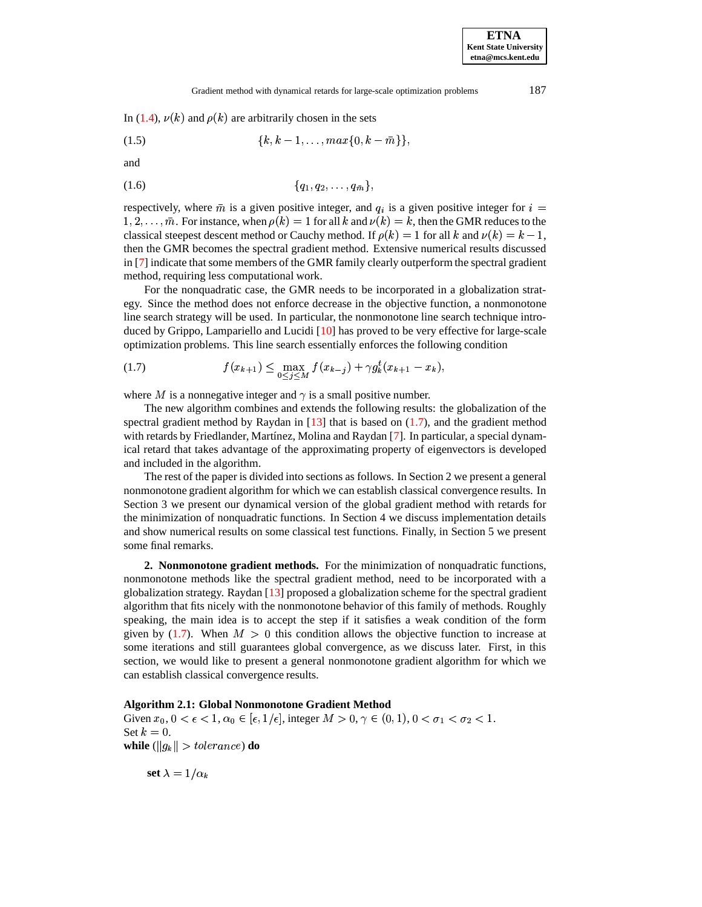<span id="page-1-1"></span>In [\(1.4\)](#page-0-1),  $\nu(k)$  and  $\rho(k)$  are arbitrarily chosen in the sets

$$
(1.5) \qquad \{k, k-1, \ldots, \max\{0, k-\bar{m}\}\},
$$

and

$$
(1.6) \t {q_1, q_2, \ldots, q_{\bar{m}}},
$$

respectively, where  $\bar{m}$  is a given positive integer, and  $q_i$  is a given positive integer for  $i =$  $1, 2, \ldots, \bar{m}$ . For instance, when  $\rho(k) = 1$  for all k and  $\nu(k) = k$ , then the GMR reduces to the classical steepest descent method or Cauchy method. If  $\rho(k) = 1$  for all k and  $\nu(k) = k - 1$ , then the GMR becomes the spectral gradient method. Extensive numerical results discussed in [\[7\]](#page-7-8) indicate that some members of the GMR family clearly outperform the spectral gradient method, requiring less computational work.

For the nonquadratic case, the GMR needs to be incorporated in a globalization strategy. Since the method does not enforce decrease in the objective function, a nonmonotone line search strategy will be used. In particular, the nonmonotone line search technique introduced by Grippo, Lampariello and Lucidi [\[10\]](#page-7-9) has proved to be very effective for large-scale optimization problems. This line search essentially enforces the following condition

<span id="page-1-0"></span>(1.7) 
$$
f(x_{k+1}) \leq \max_{0 \leq j \leq M} f(x_{k-j}) + \gamma g_k^t (x_{k+1} - x_k),
$$

where M is a nonnegative integer and  $\gamma$  is a small positive number.

The new algorithm combines and extends the following results: the globalization of the spectral gradient method by Raydan in  $[13]$  that is based on  $(1.7)$ , and the gradient method with retards by Friedlander, Martínez, Molina and Raydan [\[7\]](#page-7-8). In particular, a special dynamical retard that takes advantage of the approximating property of eigenvectors is developed and included in the algorithm.

The rest of the paper is divided into sections as follows. In Section 2 we present a general nonmonotone gradient algorithm for which we can establish classical convergence results. In Section 3 we present our dynamical version of the global gradient method with retards for the minimization of nonquadratic functions. In Section 4 we discuss implementation details and show numerical results on some classical test functions. Finally, in Section 5 we present some final remarks.

**2. Nonmonotone gradient methods.** For the minimization of nonquadratic functions, nonmonotone methods like the spectral gradient method, need to be incorporated with a globalization strategy. Raydan [\[13\]](#page-7-10) proposed a globalization scheme for the spectral gradient algorithm that fits nicely with the nonmonotone behavior of this family of methods. Roughly speaking, the main idea is to accept the step if it satisfies a weak condition of the form given by [\(1.7\)](#page-1-0). When  $M > 0$  this condition allows the objective function to increase at some iterations and still guarantees global convergence, as we discuss later. First, in this section, we would like to present a general nonmonotone gradient algorithm for which we can establish classical convergence results.

### **Algorithm 2.1: Global Nonmonotone Gradient Method**

Given  $x_0$ ,  $0 < \epsilon < 1$ ,  $\alpha_0 \in [\epsilon, 1/\epsilon]$ , integer  $M > 0$ ,  $\gamma \in (0, 1)$ ,  $0 < \sigma_1 < \sigma_2 < 1$ . Set  $k = 0$ . while  $(\|g_k\| > tolerance)$  do

 $\operatorname{set} \lambda = 1/\alpha_k$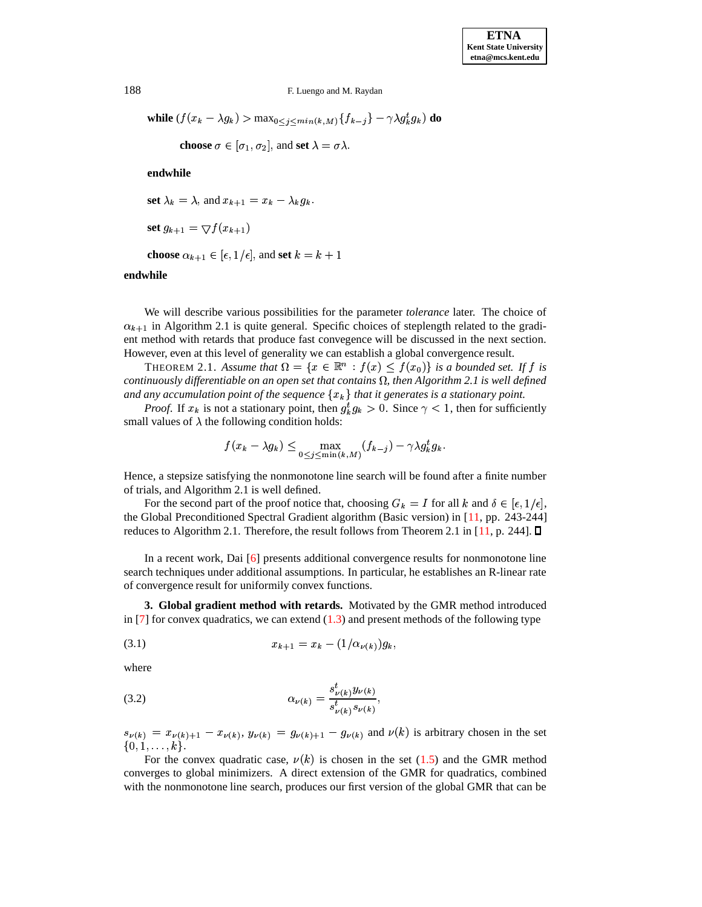188 F. Luengo and M. Raydan

while  $(f(x_k - \lambda g_k) > \max_{0 \le j \le min(k,M)} \{f_{k-j}\} - \gamma \lambda g_k^t g_k)$  do

**choose**  $\sigma \in [\sigma_1, \sigma_2]$ , and **set**  $\lambda = \sigma \lambda$ .

**endwhile**

set  $\lambda_k = \lambda$ , and  $x_{k+1} = x_k - \lambda_k g_k$ .

$$
\mathbf{set}\,g_{k+1} = \bigtriangledown f(x_{k+1})
$$

**choose**  $\alpha_{k+1} \in [\epsilon, 1/\epsilon]$ , and **set**  $k = k+1$ 

## **endwhile**

We will describe various possibilities for the parameter *tolerance* later. The choice of  $\alpha_{k+1}$  in Algorithm 2.1 is quite general. Specific choices of steplength related to the gradient method with retards that produce fast convegence will be discussed in the next section. However, even at this level of generality we can establish a global convergence result.

THEOREM 2.1. Assume that  $\Omega = \{x \in \mathbb{R}^n : f(x) \leq f(x_0)\}$  is a bounded set. If f is *continuously differentiable on an open set that contains*  $\Omega$ , *then Algorithm* 2.1 *is well defined and any accumulation point of the sequence*  $\{x_k\}$  *that it generates is a stationary point.* 

*Proof.* If  $x_k$  is not a stationary point, then  $g_k^t g_k > 0$ . Since  $\gamma < 1$ , then for sufficiently small values of  $\lambda$  the following condition holds:

$$
f(x_k - \lambda g_k) \le \max_{0 \le j \le \min(k,M)} (f_{k-j}) - \gamma \lambda g_k^t g_k.
$$

Hence, a stepsize satisfying the nonmonotone line search will be found after a finite number of trials, and Algorithm 2.1 is well defined.

For the second part of the proof notice that, choosing  $G_k = I$  for all k and  $\delta \in [\epsilon, 1/\epsilon]$ , the Global Preconditioned Spectral Gradient algorithm (Basic version) in [\[11,](#page-7-11) pp. 243-244] reduces to Algorithm 2.1. Therefore, the result follows from Theorem 2.1 in  $[11, p. 244]$  $[11, p. 244]$ .  $\square$ 

In a recent work, Dai [\[6\]](#page-7-12) presents additional convergence results for nonmonotone line search techniques under additional assumptions. In particular, he establishes an R-linear rate of convergence result for uniformily convex functions.

**3. Global gradient method with retards.** Motivated by the GMR method introduced in  $[7]$  for convex quadratics, we can extend  $(1.3)$  and present methods of the following type

$$
(3.1) \t\t\t x_{k+1} = x_k - (1/\alpha_{\nu(k)})g_k,
$$

where

<span id="page-2-0"></span>(3.2) 
$$
\alpha_{\nu(k)} = \frac{s_{\nu(k)}^t y_{\nu(k)}}{s_{\nu(k)}^t s_{\nu(k)}},
$$

 $s_{\nu(k)} = x_{\nu(k)+1} - x_{\nu(k)},$   $y_{\nu(k)} = g_{\nu(k)+1} - g_{\nu(k)}$  and  $\nu(k)$  is arbitrary chosen in the set  $,1,\ldots,k\}.$ 

For the convex quadratic case,  $\nu(k)$  is chosen in the set [\(1.5\)](#page-1-1) and the GMR method converges to global minimizers. A direct extension of the GMR for quadratics, combined with the nonmonotone line search, produces our first version of the global GMR that can be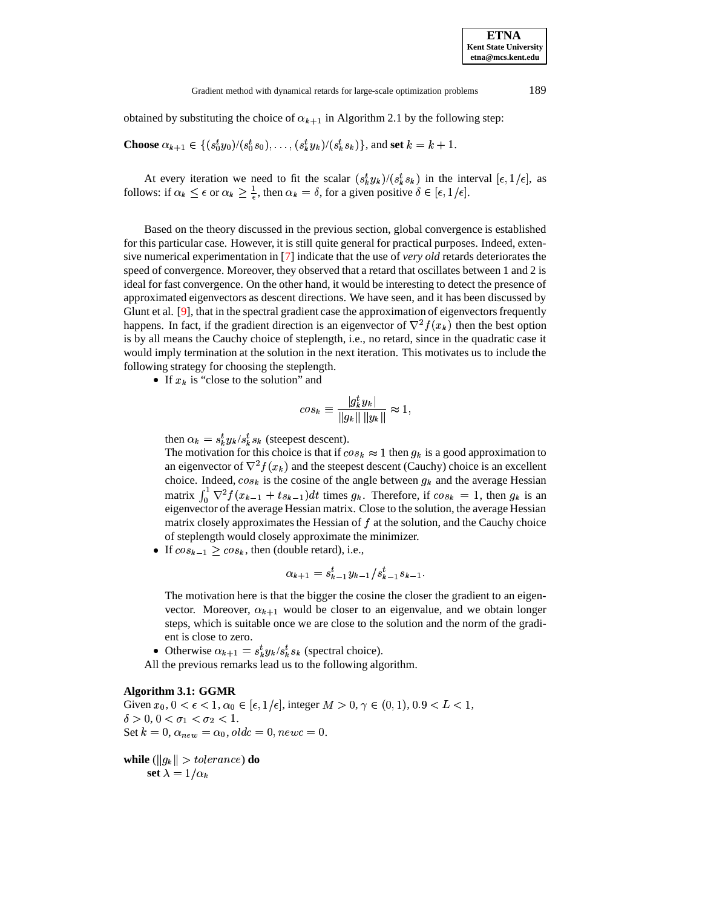#### Gradient method with dynamical retards for large-scale optimization problems 189

obtained by substituting the choice of  $\alpha_{k+1}$  in Algorithm 2.1 by the following step:

**Choose** 
$$
\alpha_{k+1} \in \{(s_0^t y_0)/(s_0^t s_0), \ldots, (s_k^t y_k)/(s_k^t s_k)\}\text{, and set } k = k+1.
$$

At every iteration we need to fit the scalar  $(s_k^t y_k)/(s_k^t s_k)$  in  $\kappa$ ) in the interval  $[\epsilon, 1/\epsilon]$ , as follows: if  $\alpha_k \leq \epsilon$  or  $\alpha_k \geq \frac{1}{\epsilon}$ , then  $\alpha_k = \delta$ , for a given positive  $\delta \in [\epsilon, 1/\epsilon]$ .

Based on the theory discussed in the previous section, global convergence is established for this particular case. However, it is still quite general for practical purposes. Indeed, extensive numerical experimentation in [\[7\]](#page-7-8) indicate that the use of *very old* retards deteriorates the speed of convergence. Moreover, they observed that a retard that oscillates between 1 and 2 is ideal for fast convergence. On the other hand, it would be interesting to detect the presence of approximated eigenvectors as descent directions. We have seen, and it has been discussed by Glunt et al.  $[9]$ , that in the spectral gradient case the approximation of eigenvectors frequently happens. In fact, if the gradient direction is an eigenvector of  $\nabla^2 f(x_k)$  then the best option is by all means the Cauchy choice of steplength, i.e., no retard, since in the quadratic case it would imply termination at the solution in the next iteration. This motivates us to include the following strategy for choosing the steplength.

If  $x_k$  is "close to the solution" and

$$
cos_k \equiv \frac{|g_k^t y_k|}{\|g_k\| \|y_k\|} \approx 1,
$$

then  $\alpha_k = s_k^t y_k / s_k^t s_k$  (ste  $y_k/s_k^t s_k$  (stee  $_k$  (steepest descent).

The motivation for this choice is that if  $\cos_k \approx 1$  then  $g_k$  is a good approximation to an eigenvector of  $\nabla^2 f(x_k)$  and the steepest descent (Cauchy) choice is an excellent choice. Indeed,  $cos_k$  is the cosine of the angle between  $g_k$  and the average Hessian matrix  $\int_0^1 \nabla^2 f(x_{k-1} + ts_{k-1}) dt$  times  $g_k$ . Therefore, if  $cos_k = 1$ , then  $g_k$  is an eigenvector of the average Hessian matrix. Close to the solution, the average Hessian matrix closely approximates the Hessian of  $f$  at the solution, and the Cauchy choice of steplength would closely approximate the minimizer.

If  $cos_{k-1} \ge cos_k$ , then (double retard), i.e.,

$$
\alpha_{k+1} = s_{k-1}^t y_{k-1} / s_{k-1}^t s_{k-1}.
$$

The motivation here is that the bigger the cosine the closer the gradient to an eigenvector. Moreover,  $\alpha_{k+1}$  would be closer to an eigenvalue, and we obtain longer steps, which is suitable once we are close to the solution and the norm of the gradient is close to zero.

• Otherwise  $\alpha_{k+1} = s_k^t y_k / s_k^t s_k$  (sp  $\frac{t}{k} y_k / s_k^t s_k$  (spee  $_k$  (spectral choice).

All the previous remarks lead us to the following algorithm.

## **Algorithm 3.1: GGMR**

Given  $x_0, 0 < \epsilon < 1, \alpha_0 \in [\epsilon, 1/\epsilon]$ , integer  $M > 0, \gamma \in (0, 1), 0.9 < L < 1$ ,  $\delta > 0, 0 < \sigma_1 < \sigma_2 < 1.$ Set  $k = 0$ ,  $\alpha_{new} = \alpha_0$ ,  $oldc = 0$ ,  $newc = 0$ .

while  $(\|g_k\| > tolerance)$  do  $\operatorname{set} \lambda = 1/\alpha_k$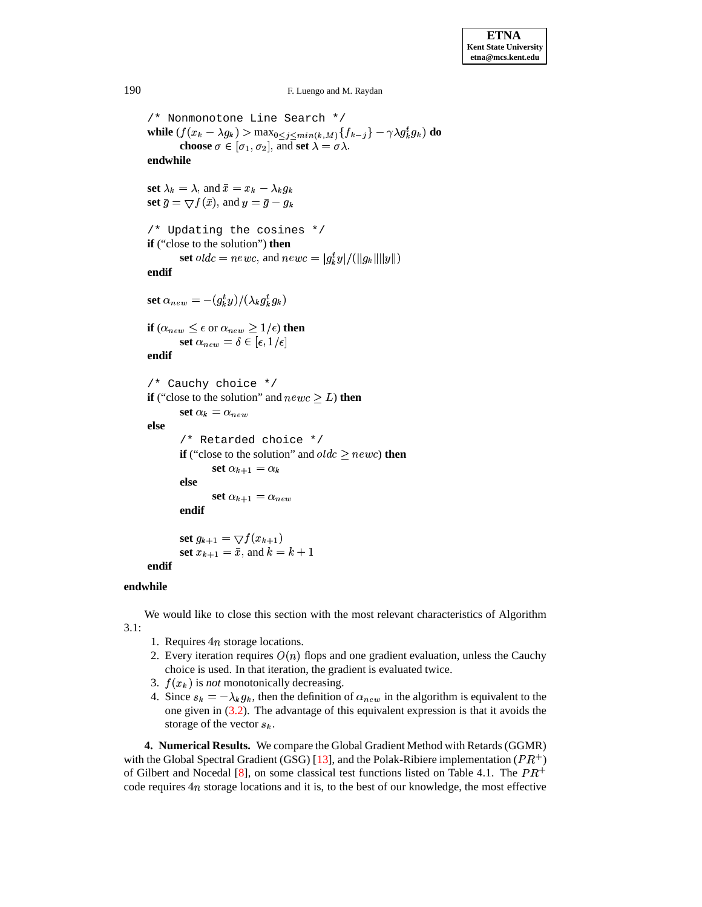190 F. Luengo and M. Raydan

/\* Nonmonotone Line Search \*/ while  $(f(x_k - \lambda g_k) > \max_{0 \le j \le min(k,M)} \{f_{k-j}\} - \gamma \lambda g_k^t g_k)$  do **choose**  $\sigma \in [\sigma_1, \sigma_2]$ , and **set**  $\lambda = \sigma \lambda$ .

**endwhile**

set  $\lambda_k = \lambda$ , and  $\bar{x} = x_k - \lambda_k g_k$ **set**  $\bar{g} = \nabla f(\bar{x})$ , and  $y = \bar{g} - g_k$ 

```
/* Updating the cosines */
if ("close to the solution") then
      set oldc = newc, and newc = |g_k^t y|/(\|g_k\| \|y\|)
```
**endif**

 $\operatorname{set} \alpha_{new} = -(g_k^ty)/(\lambda_k g_k^tg_k)$  $\mathbf{v}$  and  $\mathbf{v}$  are all  $\mathbf{v}$  and  $\mathbf{v}$  are all  $\mathbf{v}$  and  $\mathbf{v}$ 

**if**  $(\alpha_{new} \leq \epsilon \text{ or } \alpha_{new} \geq 1/\epsilon)$  **then**  $\textbf{set}~\alpha_{new} = \delta \in [\epsilon, 1/\epsilon]$ 

**endif**

```
/* Cauchy choice */
if ("close to the solution" and newc \geq L) then
       \textbf{set}~\alpha_k = \alpha_{new}else
        /* Retarded choice */
        if ("close to the solution" and oldc \geq newc) then
               set \alpha_{k+1} = \alpha_kelse
               set \alpha_{k+1} = \alpha_{new}endif
        \operatorname{set} g_{k+1} = \bigtriangledown f(x_{k+1})set x_{k+1} = \bar{x}, and k = k+1endif
```
# **endwhile**

We would like to close this section with the most relevant characteristics of Algorithm 3.1:

- 1. Requires  $4n$  storage locations.
- 2. Every iteration requires  $O(n)$  flops and one gradient evaluation, unless the Cauchy choice is used. In that iteration, the gradient is evaluated twice.
- 3.  $f(x_k)$  is *not* monotonically decreasing.
- 4. Since  $s_k = -\lambda_k g_k$ , then the definition of  $\alpha_{new}$  in the algorithm is equivalent to the one given in [\(3.2\)](#page-2-0). The advantage of this equivalent expression is that it avoids the storage of the vector  $s_k$ .

**4. Numerical Results.** We compare the Global Gradient Method with Retards (GGMR) <sup>9</sup> with the Global Spectral Gradient (GSG) [\[13\]](#page-7-10), and the Polak-Ribiere implementation ( $PR^+$ ) of Gilbert and Nocedal [\[8\]](#page-7-13), on some classical test functions listed on Table 4.1. The  $PR^+$ code requires  $4n$  storage locations and it is, to the best of our knowledge, the most effective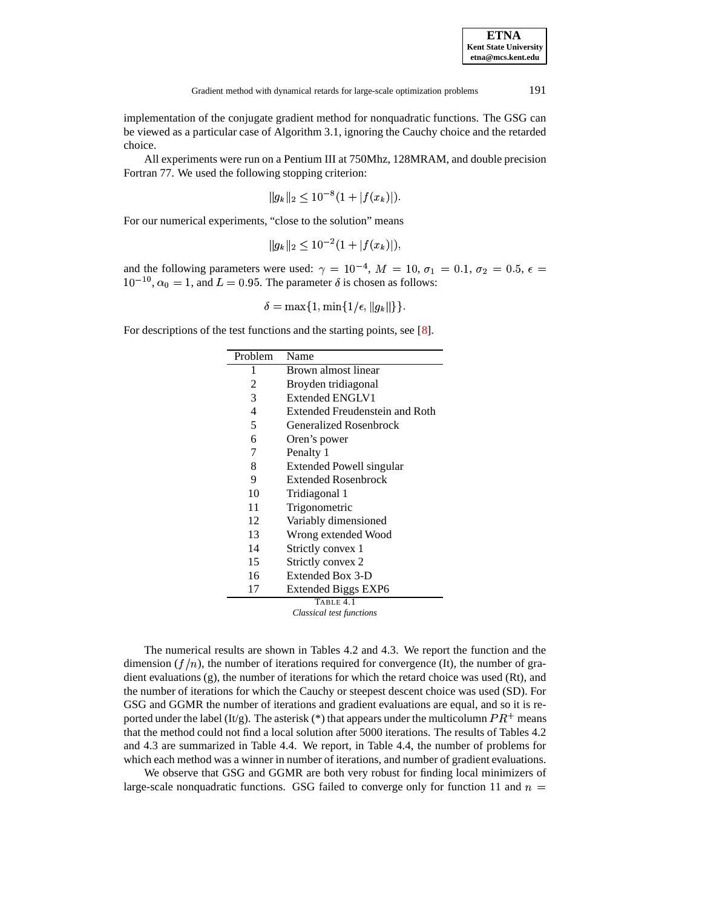implementation of the conjugate gradient method for nonquadratic functions. The GSG can be viewed as a particular case of Algorithm 3.1, ignoring the Cauchy choice and the retarded choice.

All experiments were run on a Pentium III at 750Mhz, 128MRAM, and double precision Fortran 77. We used the following stopping criterion:

$$
||g_k||_2 \le 10^{-8} (1 + |f(x_k)|).
$$

For our numerical experiments, "close to the solution" means

$$
||g_k||_2 \le 10^{-2} (1 + |f(x_k)|),
$$

and the following parameters were used:  $\gamma = 10^{-4}$ ,  $M = 10$ ,  $\sigma_1 = 0.1$ ,  $\sigma_2 = 0.5$ ,  $\epsilon =$  $10^{-10}$ ,  $\alpha_0 = 1$ , and  $L = 0.95$ . The parameter  $\delta$  is chosen as follows:

$$
\delta = \max\{1, \min\{1/\epsilon, \|g_k\|\}\}.
$$

For descriptions of the test functions and the starting points, see [\[8\]](#page-7-13).

| Problem   | Name                           |  |  |
|-----------|--------------------------------|--|--|
| 1         | Brown almost linear            |  |  |
| 2         | Broyden tridiagonal            |  |  |
| 3         | <b>Extended ENGLV1</b>         |  |  |
| 4         | Extended Freudenstein and Roth |  |  |
| 5         | <b>Generalized Rosenbrock</b>  |  |  |
| 6         | Oren's power                   |  |  |
| 7         | Penalty 1                      |  |  |
| 8         | Extended Powell singular       |  |  |
| 9         | <b>Extended Rosenbrock</b>     |  |  |
| 10        | Tridiagonal 1                  |  |  |
| 11        | Trigonometric                  |  |  |
| 12        | Variably dimensioned           |  |  |
| 13        | Wrong extended Wood            |  |  |
| 14        | Strictly convex 1              |  |  |
| 15        | Strictly convex 2              |  |  |
| 16        | Extended Box 3-D               |  |  |
| 17        | <b>Extended Biggs EXP6</b>     |  |  |
| TABLE 4.1 |                                |  |  |

*Classical test functions*

The numerical results are shown in Tables 4.2 and 4.3. We report the function and the dimension  $(f/n)$ , the number of iterations required for convergence (It), the number of gradient evaluations (g), the number of iterations for which the retard choice was used (Rt), and the number of iterations for which the Cauchy or steepest descent choice was used (SD). For GSG and GGMR the number of iterations and gradient evaluations are equal, and so it is reported under the label (It/g). The asterisk (\*) that appears under the multicolumn  $PR^+$  means that the method could not find a local solution after 5000 iterations. The results of Tables 4.2 and 4.3 are summarized in Table 4.4. We report, in Table 4.4, the number of problems for which each method was a winner in number of iterations, and number of gradient evaluations.

We observe that GSG and GGMR are both very robust for finding local minimizers of large-scale nonquadratic functions. GSG failed to converge only for function 11 and  $n =$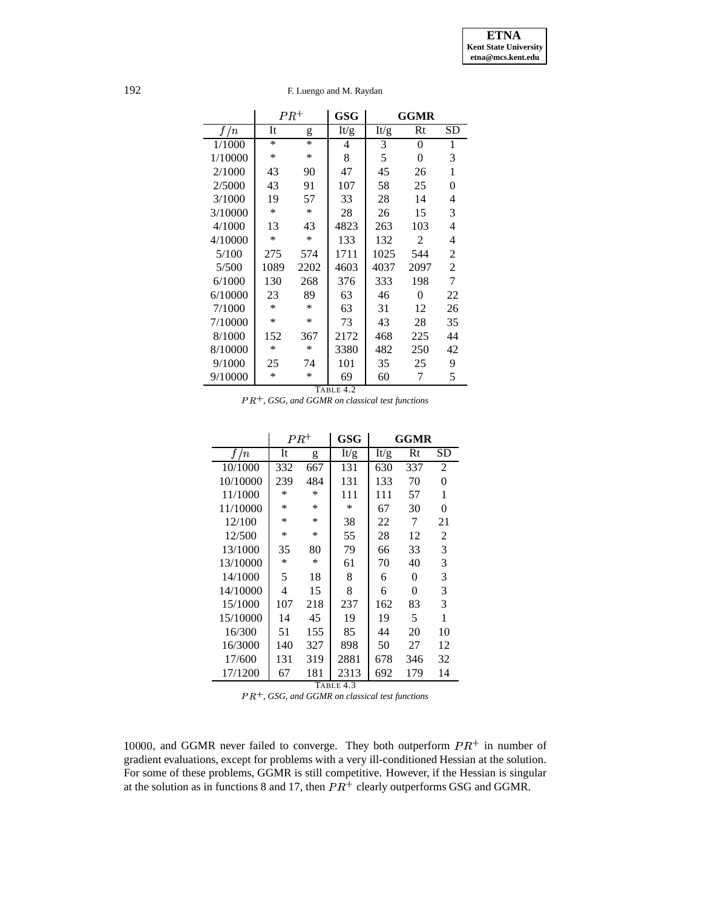# 192 F. Luengo and M. Raydan

|           | $PR^+$ |        | <b>GSG</b> | <b>GGMR</b>       |                |          |
|-----------|--------|--------|------------|-------------------|----------------|----------|
| f/n       | It     | g      | It/g       | $\overline{I}t/g$ | Rt             | SD       |
| 1/1000    | $\ast$ | $\ast$ | 4          | 3                 | 0              | 1        |
| 1/10000   | ∗      | ∗      | 8          | 5                 | 0              | 3        |
| 2/1000    | 43     | 90     | 47         | 45                | 26             | 1        |
| 2/5000    | 43     | 91     | 107        | 58                | 25             | $\theta$ |
| 3/1000    | 19     | 57     | 33         | 28                | 14             | 4        |
| 3/10000   | *      | $\ast$ | 28         | 26                | 15             | 3        |
| 4/1000    | 13     | 43     | 4823       | 263               | 103            | 4        |
| 4/10000   | *      | *      | 133        | 132               | $\overline{c}$ | 4        |
| 5/100     | 275    | 574    | 1711       | 1025              | 544            | 2        |
| 5/500     | 1089   | 2202   | 4603       | 4037              | 2097           | 2        |
| 6/1000    | 130    | 268    | 376        | 333               | 198            | 7        |
| 6/10000   | 23     | 89     | 63         | 46                | 0              | 22       |
| 7/1000    | *      | $\ast$ | 63         | 31                | 12             | 26       |
| 7/10000   | *      | ∗      | 73         | 43                | 28             | 35       |
| 8/1000    | 152    | 367    | 2172       | 468               | 225            | 44       |
| 8/10000   | *      | $\ast$ | 3380       | 482               | 250            | 42       |
| 9/1000    | 25     | 74     | 101        | 35                | 25             | 9        |
| 9/10000   | *      | ∗      | 69         | 60                | 7              | 5        |
| TABLE 4.2 |        |        |            |                   |                |          |

 $PR^+$ , *GSG, and GGMR on classical test functions* 

L,

|           | $PR^+$ |     | GSG  | GGMR |     |          |
|-----------|--------|-----|------|------|-----|----------|
| f/n       | It     | g   | It/g | It/g | Rt  | SD       |
| 10/1000   | 332    | 667 | 131  | 630  | 337 | 2        |
| 10/10000  | 239    | 484 | 131  | 133  | 70  | 0        |
| 11/1000   | $\ast$ | *   | 111  | 111  | 57  | 1        |
| 11/10000  | $\ast$ | *   | *    | 67   | 30  | $\theta$ |
| 12/100    | $\ast$ | *   | 38   | 22   | 7   | 21       |
| 12/500    | $\ast$ | *   | 55   | 28   | 12  | 2        |
| 13/1000   | 35     | 80  | 79   | 66   | 33  | 3        |
| 13/10000  | $\ast$ | *   | 61   | 70   | 40  | 3        |
| 14/1000   | 5      | 18  | 8    | 6    | 0   | 3        |
| 14/10000  | 4      | 15  | 8    | 6    | 0   | 3        |
| 15/1000   | 107    | 218 | 237  | 162  | 83  | 3        |
| 15/10000  | 14     | 45  | 19   | 19   | 5   | 1        |
| 16/300    | 51     | 155 | 85   | 44   | 20  | 10       |
| 16/3000   | 140    | 327 | 898  | 50   | 27  | 12       |
| 17/600    | 131    | 319 | 2881 | 678  | 346 | 32       |
| 17/1200   | 67     | 181 | 2313 | 692  | 179 | 14       |
| TABLE 4.3 |        |     |      |      |     |          |

 $PR^+$ , *GSG, and GGMR on classical test functions* 

10000, and GGMR never failed to converge. They both outperform  $PR^+$  in number of gradient evaluations, except for problems with a very ill-conditioned Hessian at the solution. For some of these problems, GGMR is still competitive. However, if the Hessian is singular at the solution as in functions 8 and 17, then  $PR^+$  clearly outperforms GSG and GGMR.